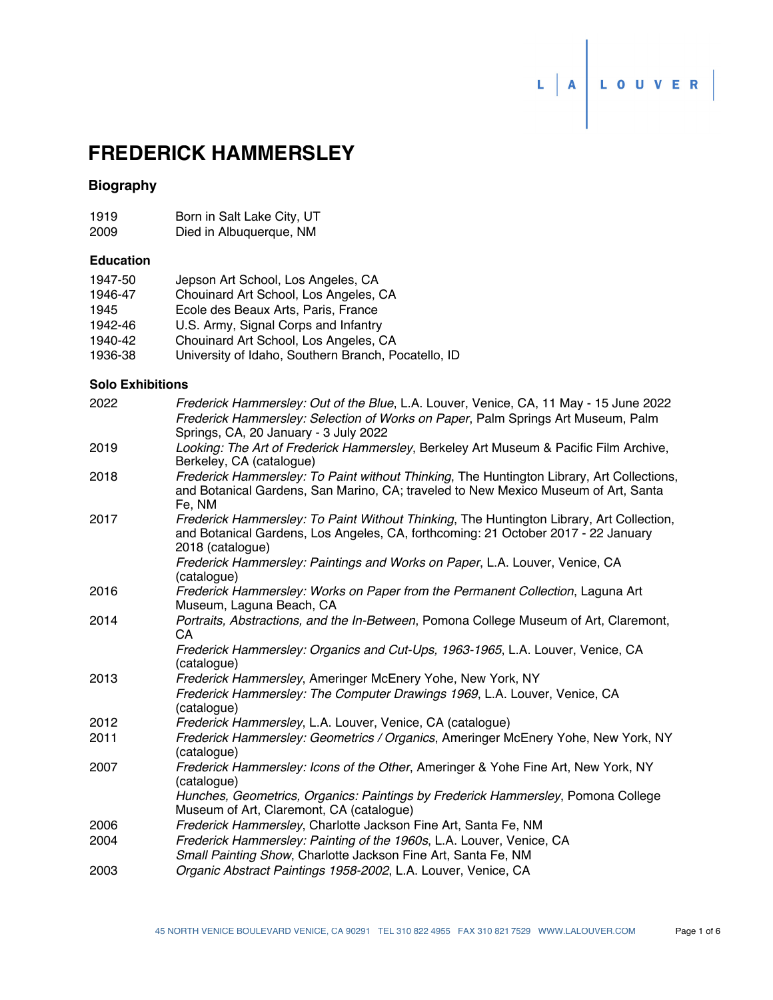# L A LOUVER

# **FREDERICK HAMMERSLEY**

# **Biography**

| 1919 |  | Born in Salt Lake City, UT |  |  |
|------|--|----------------------------|--|--|
|      |  |                            |  |  |

2009 Died in Albuquerque, NM

## **Education**

| 1947-50 | Jepson Art School, Los Angeles, CA                  |
|---------|-----------------------------------------------------|
| 1946-47 | Chouinard Art School, Los Angeles, CA               |
| 1945    | Ecole des Beaux Arts, Paris, France                 |
| 1942-46 | U.S. Army, Signal Corps and Infantry                |
| 1940-42 | Chouinard Art School, Los Angeles, CA               |
| 1936-38 | University of Idaho, Southern Branch, Pocatello, ID |

#### **Solo Exhibitions**

| 2022 | Frederick Hammersley: Out of the Blue, L.A. Louver, Venice, CA, 11 May - 15 June 2022<br>Frederick Hammersley: Selection of Works on Paper, Palm Springs Art Museum, Palm                         |
|------|---------------------------------------------------------------------------------------------------------------------------------------------------------------------------------------------------|
| 2019 | Springs, CA, 20 January - 3 July 2022<br>Looking: The Art of Frederick Hammersley, Berkeley Art Museum & Pacific Film Archive,<br>Berkeley, CA (catalogue)                                        |
| 2018 | Frederick Hammersley: To Paint without Thinking, The Huntington Library, Art Collections,<br>and Botanical Gardens, San Marino, CA; traveled to New Mexico Museum of Art, Santa<br>Fe, NM         |
| 2017 | Frederick Hammersley: To Paint Without Thinking, The Huntington Library, Art Collection,<br>and Botanical Gardens, Los Angeles, CA, forthcoming: 21 October 2017 - 22 January<br>2018 (catalogue) |
|      | Frederick Hammersley: Paintings and Works on Paper, L.A. Louver, Venice, CA<br>(catalogue)                                                                                                        |
| 2016 | Frederick Hammersley: Works on Paper from the Permanent Collection, Laguna Art<br>Museum, Laguna Beach, CA                                                                                        |
| 2014 | Portraits, Abstractions, and the In-Between, Pomona College Museum of Art, Claremont,<br>CA                                                                                                       |
|      | Frederick Hammersley: Organics and Cut-Ups, 1963-1965, L.A. Louver, Venice, CA<br>(catalogue)                                                                                                     |
| 2013 | Frederick Hammersley, Ameringer McEnery Yohe, New York, NY                                                                                                                                        |
|      | Frederick Hammersley: The Computer Drawings 1969, L.A. Louver, Venice, CA<br>(catalogue)                                                                                                          |
| 2012 | Frederick Hammersley, L.A. Louver, Venice, CA (catalogue)                                                                                                                                         |
| 2011 | Frederick Hammersley: Geometrics / Organics, Ameringer McEnery Yohe, New York, NY<br>(catalogue)                                                                                                  |
| 2007 | Frederick Hammersley: Icons of the Other, Ameringer & Yohe Fine Art, New York, NY<br>(catalogue)                                                                                                  |
|      | Hunches, Geometrics, Organics: Paintings by Frederick Hammersley, Pomona College<br>Museum of Art, Claremont, CA (catalogue)                                                                      |
| 2006 | Frederick Hammersley, Charlotte Jackson Fine Art, Santa Fe, NM                                                                                                                                    |
| 2004 | Frederick Hammersley: Painting of the 1960s, L.A. Louver, Venice, CA<br>Small Painting Show, Charlotte Jackson Fine Art, Santa Fe, NM                                                             |
| 2003 | Organic Abstract Paintings 1958-2002, L.A. Louver, Venice, CA                                                                                                                                     |
|      |                                                                                                                                                                                                   |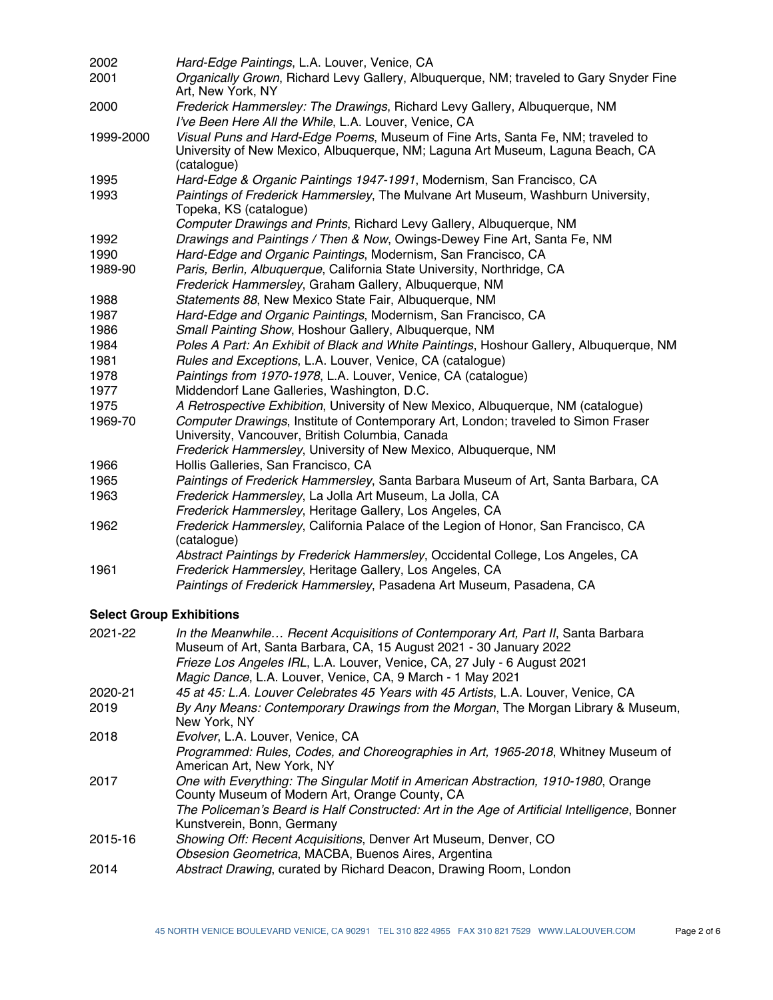| 2002      | Hard-Edge Paintings, L.A. Louver, Venice, CA                                                                                                                                                                                                                                                     |
|-----------|--------------------------------------------------------------------------------------------------------------------------------------------------------------------------------------------------------------------------------------------------------------------------------------------------|
| 2001      | Organically Grown, Richard Levy Gallery, Albuquerque, NM; traveled to Gary Snyder Fine<br>Art, New York, NY                                                                                                                                                                                      |
| 2000      | Frederick Hammersley: The Drawings, Richard Levy Gallery, Albuquerque, NM<br>I've Been Here All the While, L.A. Louver, Venice, CA                                                                                                                                                               |
| 1999-2000 | Visual Puns and Hard-Edge Poems, Museum of Fine Arts, Santa Fe, NM; traveled to<br>University of New Mexico, Albuquerque, NM; Laguna Art Museum, Laguna Beach, CA<br>(catalogue)                                                                                                                 |
| 1995      | Hard-Edge & Organic Paintings 1947-1991, Modernism, San Francisco, CA                                                                                                                                                                                                                            |
| 1993      | Paintings of Frederick Hammersley, The Mulvane Art Museum, Washburn University,<br>Topeka, KS (catalogue)                                                                                                                                                                                        |
|           | Computer Drawings and Prints, Richard Levy Gallery, Albuquerque, NM                                                                                                                                                                                                                              |
| 1992      | Drawings and Paintings / Then & Now, Owings-Dewey Fine Art, Santa Fe, NM                                                                                                                                                                                                                         |
| 1990      | Hard-Edge and Organic Paintings, Modernism, San Francisco, CA                                                                                                                                                                                                                                    |
| 1989-90   | Paris, Berlin, Albuquerque, California State University, Northridge, CA                                                                                                                                                                                                                          |
|           | Frederick Hammersley, Graham Gallery, Albuquerque, NM                                                                                                                                                                                                                                            |
| 1988      | Statements 88, New Mexico State Fair, Albuquerque, NM                                                                                                                                                                                                                                            |
| 1987      | Hard-Edge and Organic Paintings, Modernism, San Francisco, CA                                                                                                                                                                                                                                    |
| 1986      | Small Painting Show, Hoshour Gallery, Albuquerque, NM                                                                                                                                                                                                                                            |
| 1984      | Poles A Part: An Exhibit of Black and White Paintings, Hoshour Gallery, Albuquerque, NM                                                                                                                                                                                                          |
| 1981      | Rules and Exceptions, L.A. Louver, Venice, CA (catalogue)                                                                                                                                                                                                                                        |
| 1978      | Paintings from 1970-1978, L.A. Louver, Venice, CA (catalogue)                                                                                                                                                                                                                                    |
| 1977      | Middendorf Lane Galleries, Washington, D.C.                                                                                                                                                                                                                                                      |
| 1975      | A Retrospective Exhibition, University of New Mexico, Albuquerque, NM (catalogue)                                                                                                                                                                                                                |
| 1969-70   | Computer Drawings, Institute of Contemporary Art, London; traveled to Simon Fraser<br>University, Vancouver, British Columbia, Canada<br>Frederick Hammersley, University of New Mexico, Albuquerque, NM                                                                                         |
| 1966      | Hollis Galleries, San Francisco, CA                                                                                                                                                                                                                                                              |
| 1965      | Paintings of Frederick Hammersley, Santa Barbara Museum of Art, Santa Barbara, CA                                                                                                                                                                                                                |
| 1963      | Frederick Hammersley, La Jolla Art Museum, La Jolla, CA                                                                                                                                                                                                                                          |
|           | Frederick Hammersley, Heritage Gallery, Los Angeles, CA                                                                                                                                                                                                                                          |
| 1962      | Frederick Hammersley, California Palace of the Legion of Honor, San Francisco, CA<br>(catalogue)                                                                                                                                                                                                 |
|           | Abstract Paintings by Frederick Hammersley, Occidental College, Los Angeles, CA                                                                                                                                                                                                                  |
| 1961      | Frederick Hammersley, Heritage Gallery, Los Angeles, CA                                                                                                                                                                                                                                          |
|           | Paintings of Frederick Hammersley, Pasadena Art Museum, Pasadena, CA                                                                                                                                                                                                                             |
|           | <b>Select Group Exhibitions</b>                                                                                                                                                                                                                                                                  |
| 2021-22   | In the Meanwhile Recent Acquisitions of Contemporary Art, Part II, Santa Barbara<br>Museum of Art, Santa Barbara, CA, 15 August 2021 - 30 January 2022<br>Frieze Los Angeles IRL, L.A. Louver, Venice, CA, 27 July - 6 August 2021<br>Magic Dance, L.A. Louver, Venice, CA, 9 March - 1 May 2021 |
| 2020-21   | 45 at 45: L.A. Louver Celebrates 45 Years with 45 Artists, L.A. Louver, Venice, CA                                                                                                                                                                                                               |
| 0.10      | Dr. Annel Magner, Oantannes anno Dominicae from the Magner, The Magner Ultream 0 M                                                                                                                                                                                                               |

- *By Any Means: Contemporary Drawings from the Morgan*, The Morgan Library & Museum, New York, NY 2019 2018 *Evolver*, L.A. Louver, Venice, CA
- *Programmed: Rules, Codes, and Choreographies in Art, 1965-2018*, Whitney Museum of American Art, New York, NY
- *One with Everything: The Singular Motif in American Abstraction, 1910-1980*, Orange County Museum of Modern Art, Orange County, CA 2017 *The Policeman's Beard is Half Constructed: Art in the Age of Artificial Intelligence*, Bonner Kunstverein, Bonn, Germany
- 2015-16 *Showing Off: Recent Acquisitions*, Denver Art Museum, Denver, CO *Obsesion Geometrica*, MACBA, Buenos Aires, Argentina
- 2014 *Abstract Drawing*, curated by Richard Deacon, Drawing Room, London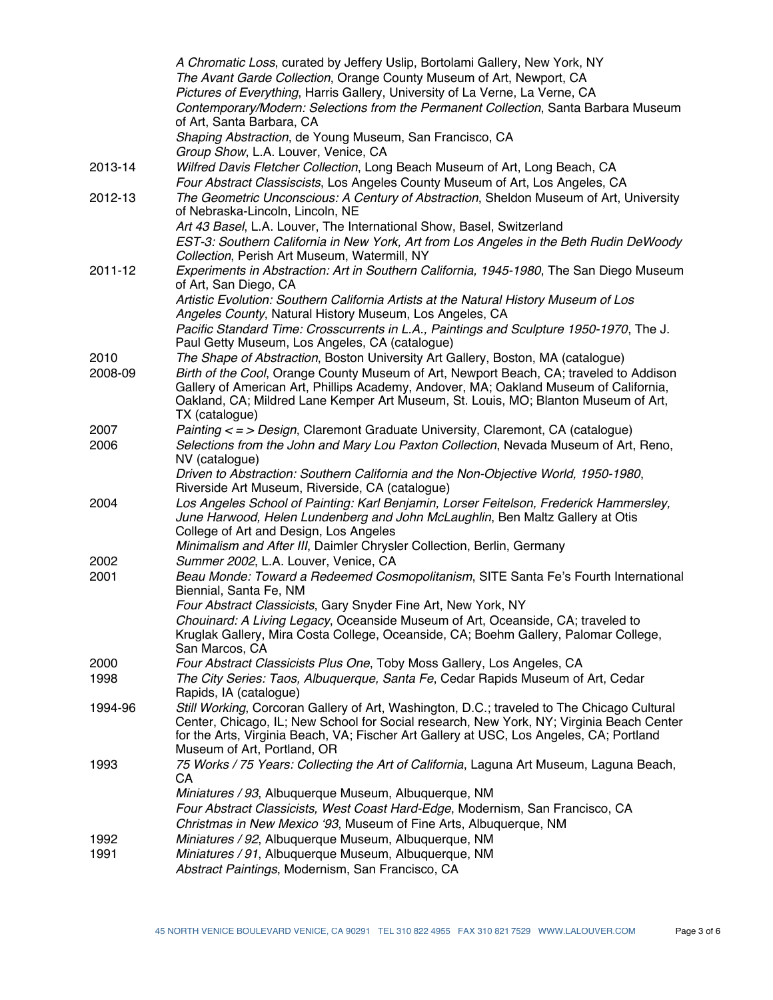|         | A Chromatic Loss, curated by Jeffery Uslip, Bortolami Gallery, New York, NY                                                                                                                                                                                                                                      |
|---------|------------------------------------------------------------------------------------------------------------------------------------------------------------------------------------------------------------------------------------------------------------------------------------------------------------------|
|         | The Avant Garde Collection, Orange County Museum of Art, Newport, CA                                                                                                                                                                                                                                             |
|         | Pictures of Everything, Harris Gallery, University of La Verne, La Verne, CA                                                                                                                                                                                                                                     |
|         | Contemporary/Modern: Selections from the Permanent Collection, Santa Barbara Museum<br>of Art, Santa Barbara, CA                                                                                                                                                                                                 |
|         | Shaping Abstraction, de Young Museum, San Francisco, CA                                                                                                                                                                                                                                                          |
|         | Group Show, L.A. Louver, Venice, CA                                                                                                                                                                                                                                                                              |
| 2013-14 | Wilfred Davis Fletcher Collection, Long Beach Museum of Art, Long Beach, CA<br>Four Abstract Classiscists, Los Angeles County Museum of Art, Los Angeles, CA                                                                                                                                                     |
| 2012-13 | The Geometric Unconscious: A Century of Abstraction, Sheldon Museum of Art, University<br>of Nebraska-Lincoln, Lincoln, NE                                                                                                                                                                                       |
|         | Art 43 Basel, L.A. Louver, The International Show, Basel, Switzerland                                                                                                                                                                                                                                            |
|         | EST-3: Southern California in New York, Art from Los Angeles in the Beth Rudin DeWoody<br>Collection, Perish Art Museum, Watermill, NY                                                                                                                                                                           |
| 2011-12 | Experiments in Abstraction: Art in Southern California, 1945-1980, The San Diego Museum<br>of Art, San Diego, CA                                                                                                                                                                                                 |
|         | Artistic Evolution: Southern California Artists at the Natural History Museum of Los<br>Angeles County, Natural History Museum, Los Angeles, CA                                                                                                                                                                  |
|         | Pacific Standard Time: Crosscurrents in L.A., Paintings and Sculpture 1950-1970, The J.<br>Paul Getty Museum, Los Angeles, CA (catalogue)                                                                                                                                                                        |
| 2010    | The Shape of Abstraction, Boston University Art Gallery, Boston, MA (catalogue)                                                                                                                                                                                                                                  |
| 2008-09 | Birth of the Cool, Orange County Museum of Art, Newport Beach, CA; traveled to Addison<br>Gallery of American Art, Phillips Academy, Andover, MA; Oakland Museum of California,<br>Oakland, CA; Mildred Lane Kemper Art Museum, St. Louis, MO; Blanton Museum of Art,<br>TX (catalogue)                          |
| 2007    | Painting < = > Design, Claremont Graduate University, Claremont, CA (catalogue)                                                                                                                                                                                                                                  |
| 2006    | Selections from the John and Mary Lou Paxton Collection, Nevada Museum of Art, Reno,<br>NV (catalogue)                                                                                                                                                                                                           |
|         | Driven to Abstraction: Southern California and the Non-Objective World, 1950-1980,<br>Riverside Art Museum, Riverside, CA (catalogue)                                                                                                                                                                            |
| 2004    | Los Angeles School of Painting: Karl Benjamin, Lorser Feitelson, Frederick Hammersley,<br>June Harwood, Helen Lundenberg and John McLaughlin, Ben Maltz Gallery at Otis<br>College of Art and Design, Los Angeles                                                                                                |
|         | Minimalism and After III, Daimler Chrysler Collection, Berlin, Germany                                                                                                                                                                                                                                           |
| 2002    | Summer 2002, L.A. Louver, Venice, CA                                                                                                                                                                                                                                                                             |
| 2001    | Beau Monde: Toward a Redeemed Cosmopolitanism, SITE Santa Fe's Fourth International<br>Biennial, Santa Fe, NM                                                                                                                                                                                                    |
|         | Four Abstract Classicists, Gary Snyder Fine Art, New York, NY                                                                                                                                                                                                                                                    |
|         | Chouinard: A Living Legacy, Oceanside Museum of Art, Oceanside, CA; traveled to<br>Kruglak Gallery, Mira Costa College, Oceanside, CA; Boehm Gallery, Palomar College,<br>San Marcos, CA                                                                                                                         |
| 2000    | Four Abstract Classicists Plus One, Toby Moss Gallery, Los Angeles, CA                                                                                                                                                                                                                                           |
| 1998    | The City Series: Taos, Albuquerque, Santa Fe, Cedar Rapids Museum of Art, Cedar<br>Rapids, IA (catalogue)                                                                                                                                                                                                        |
| 1994-96 | Still Working, Corcoran Gallery of Art, Washington, D.C.; traveled to The Chicago Cultural<br>Center, Chicago, IL; New School for Social research, New York, NY; Virginia Beach Center<br>for the Arts, Virginia Beach, VA; Fischer Art Gallery at USC, Los Angeles, CA; Portland<br>Museum of Art, Portland, OR |
| 1993    | 75 Works / 75 Years: Collecting the Art of California, Laguna Art Museum, Laguna Beach,<br>CA                                                                                                                                                                                                                    |
|         | Miniatures / 93, Albuquerque Museum, Albuquerque, NM<br>Four Abstract Classicists, West Coast Hard-Edge, Modernism, San Francisco, CA<br>Christmas in New Mexico '93, Museum of Fine Arts, Albuquerque, NM                                                                                                       |
| 1992    | Miniatures / 92, Albuquerque Museum, Albuquerque, NM                                                                                                                                                                                                                                                             |
| 1991    | Miniatures / 91, Albuquerque Museum, Albuquerque, NM<br>Abstract Paintings, Modernism, San Francisco, CA                                                                                                                                                                                                         |
|         |                                                                                                                                                                                                                                                                                                                  |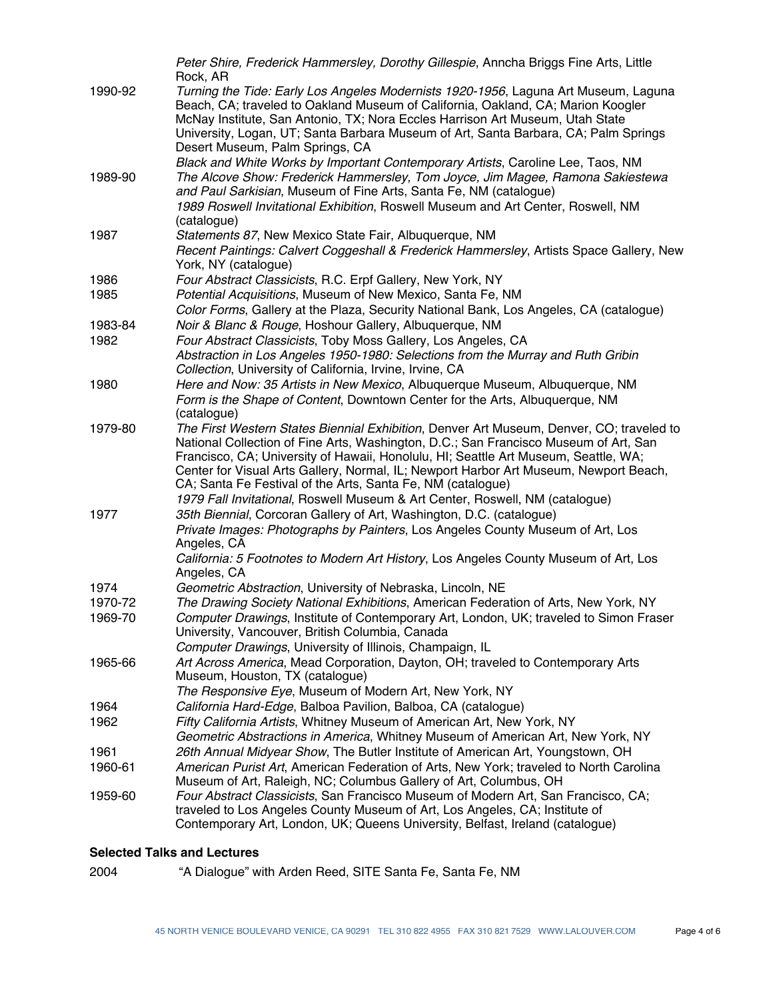|         | Peter Shire, Frederick Hammersley, Dorothy Gillespie, Anncha Briggs Fine Arts, Little<br>Rock, AR                                                                                                                                                                                                                                               |
|---------|-------------------------------------------------------------------------------------------------------------------------------------------------------------------------------------------------------------------------------------------------------------------------------------------------------------------------------------------------|
| 1990-92 | Turning the Tide: Early Los Angeles Modernists 1920-1956, Laguna Art Museum, Laguna<br>Beach, CA; traveled to Oakland Museum of California, Oakland, CA; Marion Koogler<br>McNay Institute, San Antonio, TX; Nora Eccles Harrison Art Museum, Utah State<br>University, Logan, UT; Santa Barbara Museum of Art, Santa Barbara, CA; Palm Springs |
|         | Desert Museum, Palm Springs, CA                                                                                                                                                                                                                                                                                                                 |
| 1989-90 | Black and White Works by Important Contemporary Artists, Caroline Lee, Taos, NM<br>The Alcove Show: Frederick Hammersley, Tom Joyce, Jim Magee, Ramona Sakiestewa<br>and Paul Sarkisian, Museum of Fine Arts, Santa Fe, NM (catalogue)                                                                                                          |
|         | 1989 Roswell Invitational Exhibition, Roswell Museum and Art Center, Roswell, NM<br>(catalogue)                                                                                                                                                                                                                                                 |
| 1987    | Statements 87, New Mexico State Fair, Albuquerque, NM                                                                                                                                                                                                                                                                                           |
|         | Recent Paintings: Calvert Coggeshall & Frederick Hammersley, Artists Space Gallery, New<br>York, NY (catalogue)                                                                                                                                                                                                                                 |
| 1986    | Four Abstract Classicists, R.C. Erpf Gallery, New York, NY                                                                                                                                                                                                                                                                                      |
| 1985    | Potential Acquisitions, Museum of New Mexico, Santa Fe, NM                                                                                                                                                                                                                                                                                      |
|         | Color Forms, Gallery at the Plaza, Security National Bank, Los Angeles, CA (catalogue)                                                                                                                                                                                                                                                          |
| 1983-84 | Noir & Blanc & Rouge, Hoshour Gallery, Albuquerque, NM                                                                                                                                                                                                                                                                                          |
| 1982    | Four Abstract Classicists, Toby Moss Gallery, Los Angeles, CA                                                                                                                                                                                                                                                                                   |
|         | Abstraction in Los Angeles 1950-1980: Selections from the Murray and Ruth Gribin<br>Collection, University of California, Irvine, Irvine, CA                                                                                                                                                                                                    |
| 1980    | Here and Now: 35 Artists in New Mexico, Albuquerque Museum, Albuquerque, NM                                                                                                                                                                                                                                                                     |
|         | Form is the Shape of Content, Downtown Center for the Arts, Albuquerque, NM<br>(catalogue)                                                                                                                                                                                                                                                      |
| 1979-80 | The First Western States Biennial Exhibition, Denver Art Museum, Denver, CO; traveled to                                                                                                                                                                                                                                                        |
|         | National Collection of Fine Arts, Washington, D.C.; San Francisco Museum of Art, San<br>Francisco, CA; University of Hawaii, Honolulu, HI; Seattle Art Museum, Seattle, WA;<br>Center for Visual Arts Gallery, Normal, IL; Newport Harbor Art Museum, Newport Beach,<br>CA; Santa Fe Festival of the Arts, Santa Fe, NM (catalogue)             |
|         | 1979 Fall Invitational, Roswell Museum & Art Center, Roswell, NM (catalogue)                                                                                                                                                                                                                                                                    |
| 1977    | 35th Biennial, Corcoran Gallery of Art, Washington, D.C. (catalogue)                                                                                                                                                                                                                                                                            |
|         | Private Images: Photographs by Painters, Los Angeles County Museum of Art, Los<br>Angeles, CA                                                                                                                                                                                                                                                   |
|         | California: 5 Footnotes to Modern Art History, Los Angeles County Museum of Art, Los<br>Angeles, CA                                                                                                                                                                                                                                             |
| 1974    | Geometric Abstraction, University of Nebraska, Lincoln, NE                                                                                                                                                                                                                                                                                      |
| 1970-72 | The Drawing Society National Exhibitions, American Federation of Arts, New York, NY                                                                                                                                                                                                                                                             |
| 1969-70 | Computer Drawings, Institute of Contemporary Art, London, UK; traveled to Simon Fraser<br>University, Vancouver, British Columbia, Canada                                                                                                                                                                                                       |
|         | Computer Drawings, University of Illinois, Champaign, IL                                                                                                                                                                                                                                                                                        |
| 1965-66 | Art Across America, Mead Corporation, Dayton, OH; traveled to Contemporary Arts<br>Museum, Houston, TX (catalogue)                                                                                                                                                                                                                              |
|         | The Responsive Eye, Museum of Modern Art, New York, NY                                                                                                                                                                                                                                                                                          |
| 1964    | California Hard-Edge, Balboa Pavilion, Balboa, CA (catalogue)                                                                                                                                                                                                                                                                                   |
| 1962    | Fifty California Artists, Whitney Museum of American Art, New York, NY<br>Geometric Abstractions in America, Whitney Museum of American Art, New York, NY                                                                                                                                                                                       |
| 1961    | 26th Annual Midyear Show, The Butler Institute of American Art, Youngstown, OH                                                                                                                                                                                                                                                                  |
| 1960-61 | American Purist Art, American Federation of Arts, New York; traveled to North Carolina                                                                                                                                                                                                                                                          |
| 1959-60 | Museum of Art, Raleigh, NC; Columbus Gallery of Art, Columbus, OH<br>Four Abstract Classicists, San Francisco Museum of Modern Art, San Francisco, CA;<br>traveled to Los Angeles County Museum of Art, Los Angeles, CA; Institute of<br>Contemporary Art, London, UK; Queens University, Belfast, Ireland (catalogue)                          |
|         |                                                                                                                                                                                                                                                                                                                                                 |

## **Selected Talks and Lectures**

2004 "A Dialogue" with Arden Reed, SITE Santa Fe, Santa Fe, NM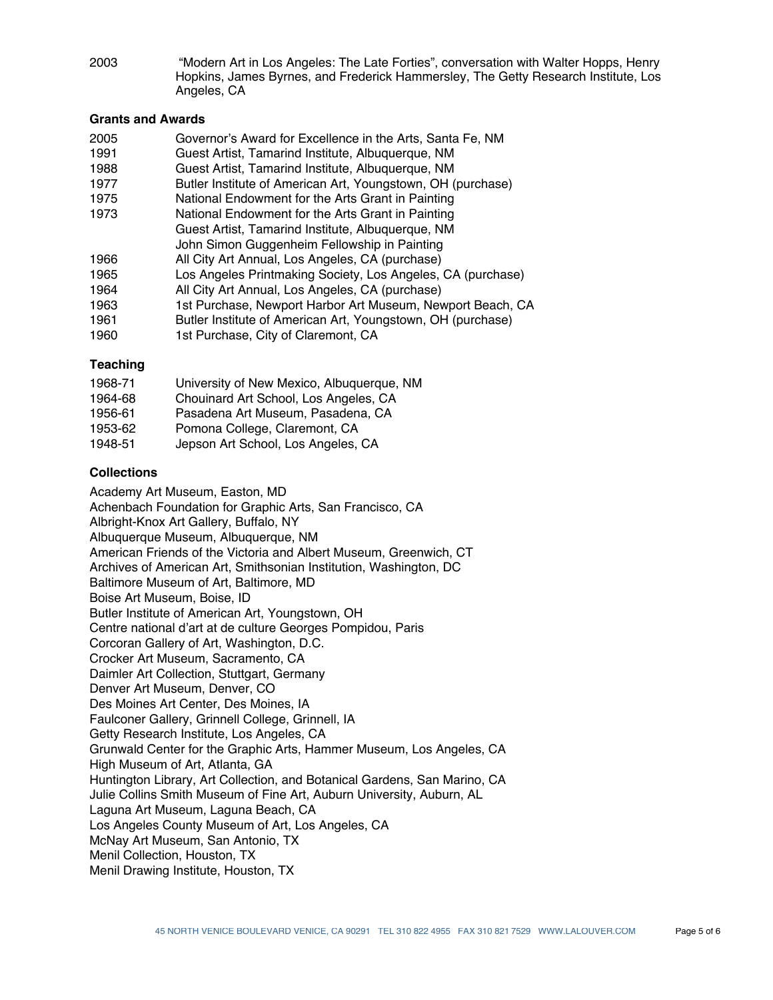"Modern Art in Los Angeles: The Late Forties", conversation with Walter Hopps, Henry Hopkins, James Byrnes, and Frederick Hammersley, The Getty Research Institute, Los Angeles, CA 2003

#### **Grants and Awards**

| 2005        | Governor's Award for Excellence in the Arts, Santa Fe, NM   |
|-------------|-------------------------------------------------------------|
| 1991        | Guest Artist, Tamarind Institute, Albuquerque, NM           |
| 1988        | Guest Artist, Tamarind Institute, Albuquerque, NM           |
| 1977        | Butler Institute of American Art, Youngstown, OH (purchase) |
| 1975        | National Endowment for the Arts Grant in Painting           |
| 1973        | National Endowment for the Arts Grant in Painting           |
|             | Guest Artist, Tamarind Institute, Albuquerque, NM           |
|             | John Simon Guggenheim Fellowship in Painting                |
| 1966        | All City Art Annual, Los Angeles, CA (purchase)             |
| 1965        | Los Angeles Printmaking Society, Los Angeles, CA (purchase) |
| 1964        | All City Art Annual, Los Angeles, CA (purchase)             |
| 1963        | 1st Purchase, Newport Harbor Art Museum, Newport Beach, CA  |
| 1961        | Butler Institute of American Art, Youngstown, OH (purchase) |
| - - - - - - | $\mathcal{L}$                                               |

1960 1st Purchase, City of Claremont, CA

#### **Teaching**

| 1968-71 | University of New Mexico, Albuquerque, NM |
|---------|-------------------------------------------|
| 1964-68 | Chouinard Art School, Los Angeles, CA     |
| 1956-61 | Pasadena Art Museum, Pasadena, CA         |
| 1953-62 | Pomona College, Claremont, CA             |
| 1948-51 | Jepson Art School, Los Angeles, CA        |

#### **Collections**

Academy Art Museum, Easton, MD Achenbach Foundation for Graphic Arts, San Francisco, CA Albright-Knox Art Gallery, Buffalo, NY Albuquerque Museum, Albuquerque, NM American Friends of the Victoria and Albert Museum, Greenwich, CT Archives of American Art, Smithsonian Institution, Washington, DC Baltimore Museum of Art, Baltimore, MD Boise Art Museum, Boise, ID Butler Institute of American Art, Youngstown, OH Centre national d'art at de culture Georges Pompidou, Paris Corcoran Gallery of Art, Washington, D.C. Crocker Art Museum, Sacramento, CA Daimler Art Collection, Stuttgart, Germany Denver Art Museum, Denver, CO Des Moines Art Center, Des Moines, IA Faulconer Gallery, Grinnell College, Grinnell, IA Getty Research Institute, Los Angeles, CA Grunwald Center for the Graphic Arts, Hammer Museum, Los Angeles, CA High Museum of Art, Atlanta, GA Huntington Library, Art Collection, and Botanical Gardens, San Marino, CA Julie Collins Smith Museum of Fine Art, Auburn University, Auburn, AL Laguna Art Museum, Laguna Beach, CA Los Angeles County Museum of Art, Los Angeles, CA McNay Art Museum, San Antonio, TX Menil Collection, Houston, TX Menil Drawing Institute, Houston, TX